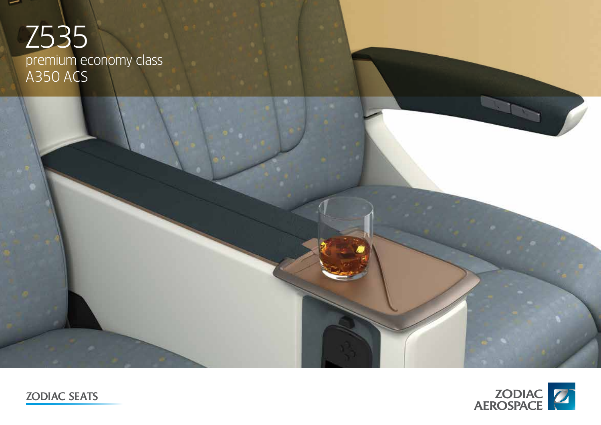# Z535 premium economy class A350 ACS





ZODIAC SEATS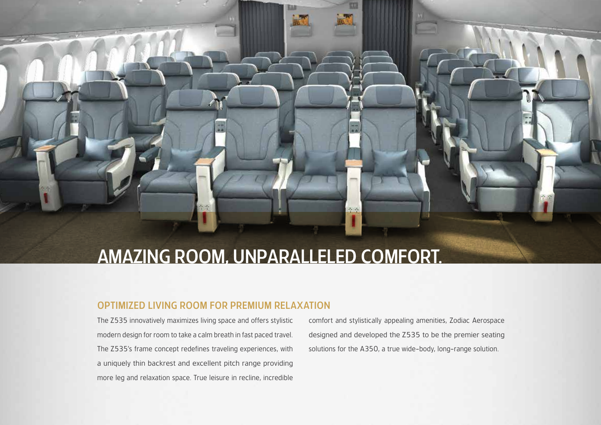## AMAZING ROOM, UNPARALLELED COMFORT.

### OPTIMIZED LIVING ROOM FOR PREMIUM RELAXATION

The Z535 innovatively maximizes living space and offers stylistic modern design for room to take a calm breath in fast paced travel. The Z535's frame concept redefines traveling experiences, with a uniquely thin backrest and excellent pitch range providing more leg and relaxation space. True leisure in recline, incredible comfort and stylistically appealing amenities, Zodiac Aerospace designed and developed the Z535 to be the premier seating solutions for the A350, a true wide-body, long-range solution.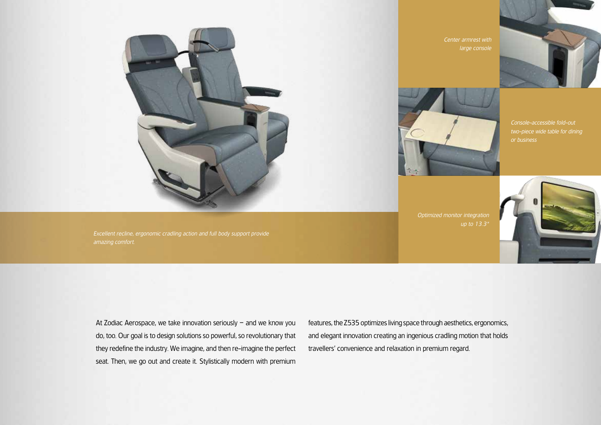

Excellent recline, ergonomic cradling action and full body support provide amazing comfort.

Center armrest with large console



Console-accessible fold-out two-piece wide table for dining or business

**Optimized monitor integration** up to 13.3"



At Zodiac Aerospace, we take innovation seriously – and we know you do, too. Our goal is to design solutions so powerful, so revolutionary that they redefine the industry. We imagine, and then re-imagine the perfect seat. Then, we go out and create it. Stylistically modern with premium features, the Z535 optimizes living space through aesthetics, ergonomics, and elegant innovation creating an ingenious cradling motion that holds travellers' convenience and relaxation in premium regard.